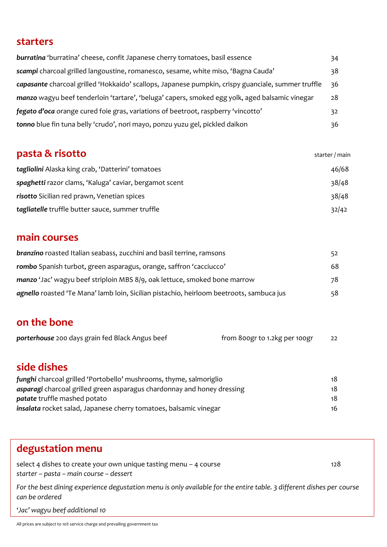### **starters**

| burratina 'burratina' cheese, confit Japanese cherry tomatoes, basil essence                       | 34 |
|----------------------------------------------------------------------------------------------------|----|
| scampi charcoal grilled langoustine, romanesco, sesame, white miso, 'Bagna Cauda'                  | 38 |
| capasante charcoal grilled 'Hokkaido' scallops, Japanese pumpkin, crispy guanciale, summer truffle | 36 |
| manzo wagyu beef tenderloin 'tartare', 'beluga' capers, smoked egg yolk, aged balsamic vinegar     | 28 |
| fegato d'oca orange cured foie gras, variations of beetroot, raspberry 'vincotto'                  | 32 |
| tonno blue fin tuna belly 'crudo', nori mayo, ponzu yuzu gel, pickled daikon                       | 36 |

| pasta & risotto                                        | starter / main |
|--------------------------------------------------------|----------------|
| tagliolini Alaska king crab, 'Datterini' tomatoes      | 46/68          |
| spaghetti razor clams, 'Kaluga' caviar, bergamot scent | 38/48          |
| risotto Sicilian red prawn, Venetian spices            | 38/48          |
| tagliatelle truffle butter sauce, summer truffle       | 32/42          |

### **main courses**

select 4 dishes to create your own unique tasting menu  $-$  4 course 128 *starter – pasta – main course – dessert* 

| <b>branzino</b> roasted Italian seabass, zucchini and basil terrine, ramsons             | 52 |
|------------------------------------------------------------------------------------------|----|
| rombo Spanish turbot, green asparagus, orange, saffron 'cacciucco'                       | 68 |
| manzo 'Jac' wagyu beef striploin MBS 8/9, oak lettuce, smoked bone marrow                | 78 |
| agnello roasted 'Te Mana' lamb loin, Sicilian pistachio, heirloom beetroots, sambuca jus | 58 |

### **on the bone**

|  |  | <b>porterhouse</b> 200 days grain fed Black Angus beef |  | from 800gr to 1.2kg per 100gr |  |
|--|--|--------------------------------------------------------|--|-------------------------------|--|
|--|--|--------------------------------------------------------|--|-------------------------------|--|

## **side dishes**

| funghi charcoal grilled 'Portobello' mushrooms, thyme, salmoriglio       | 18 |
|--------------------------------------------------------------------------|----|
| asparagi charcoal grilled green asparagus chardonnay and honey dressing  | 18 |
| <b>patate</b> truffle mashed potato                                      | 18 |
| <b>insalata</b> rocket salad, Japanese cherry tomatoes, balsamic vinegar | 16 |

### **degustation menu**

*For the best dining experience degustation menu is only available for the entire table. 3 different dishes per course can be ordered*

*'Jac' wagyu beef additional 10*

All prices are subject to 10% service charge and prevailing government tax